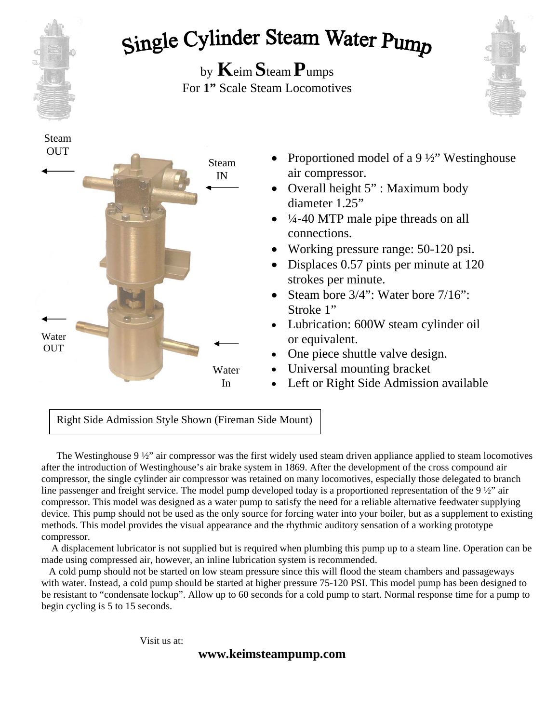

## Single Cylinder Steam Water Pump

by **K**eim **S**team **P**umps For **1"** Scale Steam Locomotives





 $\overline{a}$ Right Side Admission Style Shown (Fireman Side Mount)

 The Westinghouse 9 ½" air compressor was the first widely used steam driven appliance applied to steam locomotives after the introduction of Westinghouse's air brake system in 1869. After the development of the cross compound air compressor, the single cylinder air compressor was retained on many locomotives, especially those delegated to branch line passenger and freight service. The model pump developed today is a proportioned representation of the 9 ½" air compressor. This model was designed as a water pump to satisfy the need for a reliable alternative feedwater supplying device. This pump should not be used as the only source for forcing water into your boiler, but as a supplement to existing methods. This model provides the visual appearance and the rhythmic auditory sensation of a working prototype compressor.

 A displacement lubricator is not supplied but is required when plumbing this pump up to a steam line. Operation can be made using compressed air, however, an inline lubrication system is recommended.

 A cold pump should not be started on low steam pressure since this will flood the steam chambers and passageways with water. Instead, a cold pump should be started at higher pressure 75-120 PSI. This model pump has been designed to be resistant to "condensate lockup". Allow up to 60 seconds for a cold pump to start. Normal response time for a pump to begin cycling is 5 to 15 seconds.

Visit us at: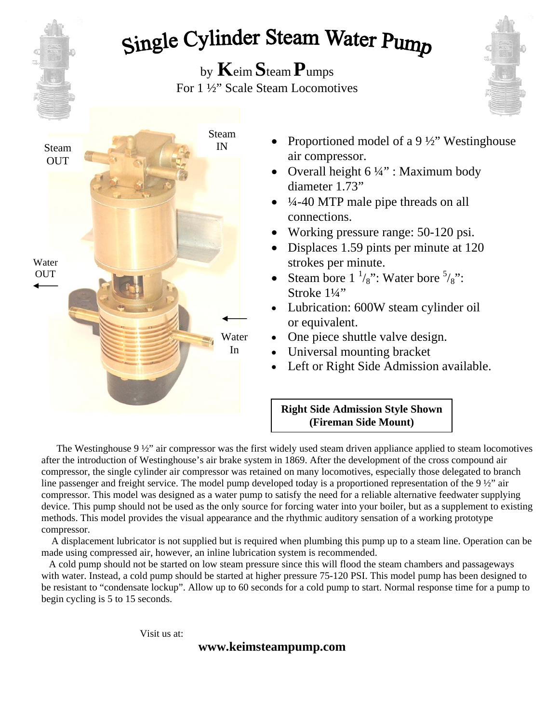# Single Cylinder Steam Water Pump

by **K**eim **S**team **P**umps For 1 ½" Scale Steam Locomotives





- Proportioned model of a 9  $\frac{1}{2}$ " Westinghouse air compressor.
- Overall height  $6\frac{1}{4}$ " : Maximum body diameter 1.73"
- $\bullet$  44-40 MTP male pipe threads on all connections.
- Working pressure range: 50-120 psi.
- Displaces 1.59 pints per minute at 120 strokes per minute.
- Steam bore  $1 \frac{1}{8}$ ": Water bore  $\frac{5}{8}$ ": Stroke  $1\frac{1}{4}$ "
- Lubrication: 600W steam cylinder oil or equivalent.
- One piece shuttle valve design.
- Universal mounting bracket
- Left or Right Side Admission available.

#### **Right Side Admission Style Shown (Fireman Side Mount)**

The Westinghouse  $9\frac{1}{2}$  air compressor was the first widely used steam driven appliance applied to steam locomotives after the introduction of Westinghouse's air brake system in 1869. After the development of the cross compound air compressor, the single cylinder air compressor was retained on many locomotives, especially those delegated to branch line passenger and freight service. The model pump developed today is a proportioned representation of the 9 ½" air compressor. This model was designed as a water pump to satisfy the need for a reliable alternative feedwater supplying device. This pump should not be used as the only source for forcing water into your boiler, but as a supplement to existing methods. This model provides the visual appearance and the rhythmic auditory sensation of a working prototype compressor.

 A displacement lubricator is not supplied but is required when plumbing this pump up to a steam line. Operation can be made using compressed air, however, an inline lubrication system is recommended.

 A cold pump should not be started on low steam pressure since this will flood the steam chambers and passageways with water. Instead, a cold pump should be started at higher pressure 75-120 PSI. This model pump has been designed to be resistant to "condensate lockup". Allow up to 60 seconds for a cold pump to start. Normal response time for a pump to begin cycling is 5 to 15 seconds.

Visit us at: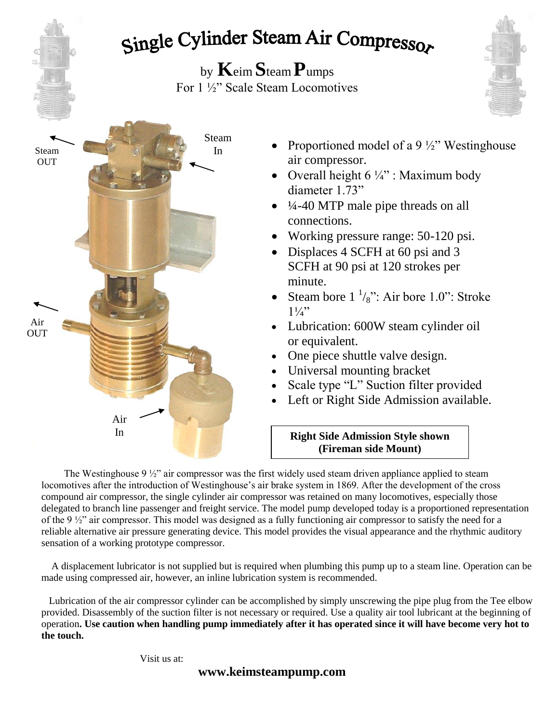## Single Cylinder Steam Air Compressor

by **K**eim **S**team **P**umps For 1 ½" Scale Steam Locomotives





- Proportioned model of a 9  $\frac{1}{2}$ " Westinghouse air compressor.
- Overall height  $6\frac{1}{4}$ " : Maximum body diameter 1.73"
- $\bullet$   $\frac{1}{4}$ -40 MTP male pipe threads on all connections.
- Working pressure range: 50-120 psi.
- Displaces 4 SCFH at 60 psi and 3 SCFH at 90 psi at 120 strokes per minute.
- Steam bore  $1 \frac{1}{8}$ ": Air bore 1.0": Stroke  $1\frac{1}{4}$ "
- Lubrication: 600W steam cylinder oil or equivalent.
- One piece shuttle valve design.
- Universal mounting bracket
- Scale type "L" Suction filter provided
- Left or Right Side Admission available.

#### **Right Side Admission Style shown (Fireman side Mount)**

The Westinghouse 9  $\frac{1}{2}$ " air compressor was the first widely used steam driven appliance applied to steam locomotives after the introduction of Westinghouse's air brake system in 1869. After the development of the cross compound air compressor, the single cylinder air compressor was retained on many locomotives, especially those delegated to branch line passenger and freight service. The model pump developed today is a proportioned representation of the 9 ½" air compressor. This model was designed as a fully functioning air compressor to satisfy the need for a reliable alternative air pressure generating device. This model provides the visual appearance and the rhythmic auditory sensation of a working prototype compressor.

 A displacement lubricator is not supplied but is required when plumbing this pump up to a steam line. Operation can be made using compressed air, however, an inline lubrication system is recommended.

 Lubrication of the air compressor cylinder can be accomplished by simply unscrewing the pipe plug from the Tee elbow provided. Disassembly of the suction filter is not necessary or required. Use a quality air tool lubricant at the beginning of operation**. Use caution when handling pump immediately after it has operated since it will have become very hot to the touch.**

Visit us at: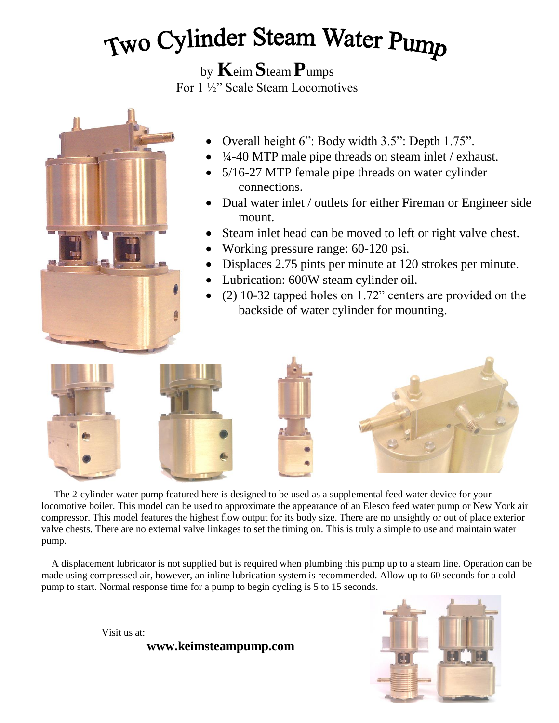# Two Cylinder Steam Water Pump

by **K**eim **S**team **P**umps

For 1 ½" Scale Steam Locomotives



- Overall height 6": Body width 3.5": Depth 1.75".
- ¼-40 MTP male pipe threads on steam inlet / exhaust.
- 5/16-27 MTP female pipe threads on water cylinder connections.
- Dual water inlet / outlets for either Fireman or Engineer side mount.
- Steam inlet head can be moved to left or right valve chest.
- Working pressure range: 60-120 psi.
- Displaces 2.75 pints per minute at 120 strokes per minute.
- Lubrication: 600W steam cylinder oil.
- (2) 10-32 tapped holes on 1.72" centers are provided on the backside of water cylinder for mounting.









 The 2-cylinder water pump featured here is designed to be used as a supplemental feed water device for your locomotive boiler. This model can be used to approximate the appearance of an Elesco feed water pump or New York air compressor. This model features the highest flow output for its body size. There are no unsightly or out of place exterior valve chests. There are no external valve linkages to set the timing on. This is truly a simple to use and maintain water pump.

 A displacement lubricator is not supplied but is required when plumbing this pump up to a steam line. Operation can be made using compressed air, however, an inline lubrication system is recommended. Allow up to 60 seconds for a cold pump to start. Normal response time for a pump to begin cycling is 5 to 15 seconds.



Visit us at: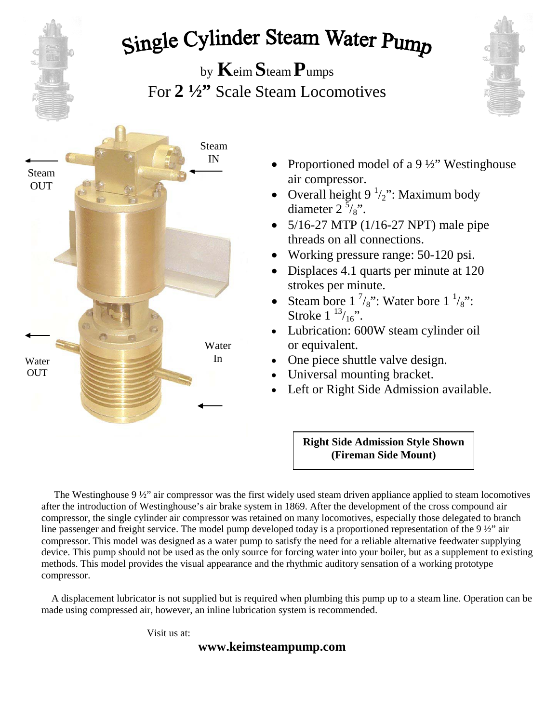# Single Cylinder Steam Water Pump

by **K**eim **S**team **P**umps For **2 ½"** Scale Steam Locomotives



- Proportioned model of a 9 ½" Westinghouse air compressor.
- Overall height  $9<sup>1</sup>/2$ ": Maximum body diameter  $2\overline{5}/8$ ".
- $5/16-27$  MTP (1/16-27 NPT) male pipe threads on all connections.
- Working pressure range: 50-120 psi.
- Displaces 4.1 quarts per minute at 120 strokes per minute.
- Steam bore  $1 \frac{7}{8}$ ": Water bore  $1 \frac{1}{8}$ ": Stroke  $1^{13}/_{16}$ ".
- Lubrication: 600W steam cylinder oil or equivalent.
- One piece shuttle valve design.
- Universal mounting bracket.
- Left or Right Side Admission available.

**Right Side Admission Style Shown (Fireman Side Mount)**

 The Westinghouse 9 ½" air compressor was the first widely used steam driven appliance applied to steam locomotives after the introduction of Westinghouse's air brake system in 1869. After the development of the cross compound air compressor, the single cylinder air compressor was retained on many locomotives, especially those delegated to branch line passenger and freight service. The model pump developed today is a proportioned representation of the 9  $\frac{1}{2}$ " air compressor. This model was designed as a water pump to satisfy the need for a reliable alternative feedwater supplying device. This pump should not be used as the only source for forcing water into your boiler, but as a supplement to existing methods. This model provides the visual appearance and the rhythmic auditory sensation of a working prototype compressor.

 A displacement lubricator is not supplied but is required when plumbing this pump up to a steam line. Operation can be made using compressed air, however, an inline lubrication system is recommended.

Visit us at: